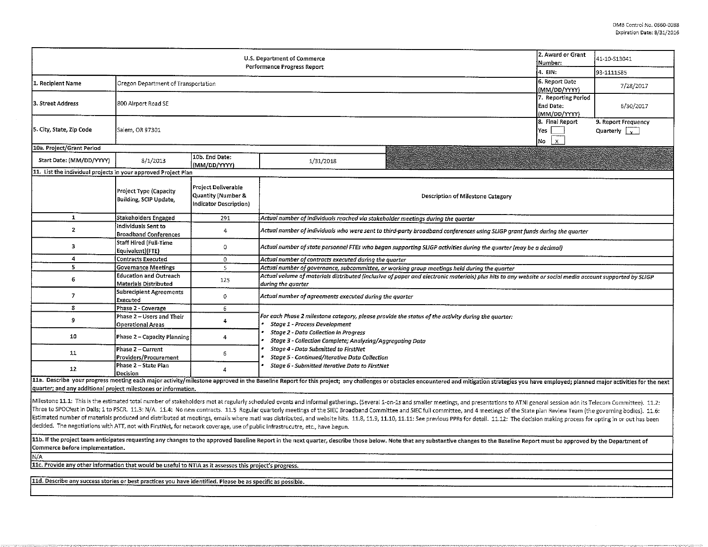|                                                                | 2. Award or Grant<br>Number:                           | 41-10-S13041                                                        |                                                                                                                                                                                                                                                                                                                                                                                                                                                                                                                                                                                                                                                                                                                                                                                                                                    |                                                  |                                                        |  |  |  |  |  |  |
|----------------------------------------------------------------|--------------------------------------------------------|---------------------------------------------------------------------|------------------------------------------------------------------------------------------------------------------------------------------------------------------------------------------------------------------------------------------------------------------------------------------------------------------------------------------------------------------------------------------------------------------------------------------------------------------------------------------------------------------------------------------------------------------------------------------------------------------------------------------------------------------------------------------------------------------------------------------------------------------------------------------------------------------------------------|--------------------------------------------------|--------------------------------------------------------|--|--|--|--|--|--|
|                                                                | 4. EIN:                                                | 93-1111585                                                          |                                                                                                                                                                                                                                                                                                                                                                                                                                                                                                                                                                                                                                                                                                                                                                                                                                    |                                                  |                                                        |  |  |  |  |  |  |
| 1. Recipient Name                                              | Oregon Department of Transportation                    |                                                                     |                                                                                                                                                                                                                                                                                                                                                                                                                                                                                                                                                                                                                                                                                                                                                                                                                                    | 6. Report Date<br>(MM/DD/YYYY)                   | 7/28/2017                                              |  |  |  |  |  |  |
| l3. Street Address                                             | 800 Airport Road SE                                    |                                                                     |                                                                                                                                                                                                                                                                                                                                                                                                                                                                                                                                                                                                                                                                                                                                                                                                                                    | 7. Reporting Period<br>End Date:<br>(MM/DD/YYYY) | 6/30/2017                                              |  |  |  |  |  |  |
| 5. City, State, Zip Code                                       | Salem, OR 97301                                        |                                                                     |                                                                                                                                                                                                                                                                                                                                                                                                                                                                                                                                                                                                                                                                                                                                                                                                                                    | 8. Final Report<br>Yes<br>No<br>$\mathsf{x}$     | 9. Report Frequency<br>Quarterly $\boxed{\phantom{a}}$ |  |  |  |  |  |  |
| 10a. Project/Grant Period                                      |                                                        |                                                                     |                                                                                                                                                                                                                                                                                                                                                                                                                                                                                                                                                                                                                                                                                                                                                                                                                                    |                                                  |                                                        |  |  |  |  |  |  |
| Start Date: (MM/DD/YYYY)                                       | 8/1/2013                                               | 10b. End Date:<br>(MM/DD/YYYY)                                      | 1/31/2018                                                                                                                                                                                                                                                                                                                                                                                                                                                                                                                                                                                                                                                                                                                                                                                                                          |                                                  |                                                        |  |  |  |  |  |  |
| 11. List the individual projects in your approved Project Plan |                                                        |                                                                     |                                                                                                                                                                                                                                                                                                                                                                                                                                                                                                                                                                                                                                                                                                                                                                                                                                    |                                                  |                                                        |  |  |  |  |  |  |
|                                                                | Project Type (Capacity<br>Building, SCIP Update,       | Project Deliverable<br>Quantity (Number &<br>Indicator Description) | Description of Milestone Category                                                                                                                                                                                                                                                                                                                                                                                                                                                                                                                                                                                                                                                                                                                                                                                                  |                                                  |                                                        |  |  |  |  |  |  |
| $\mathbf{1}$                                                   | Stakeholders Engaged                                   | 291                                                                 | Actual number of individuals reached via stakeholder meetings during the quarter                                                                                                                                                                                                                                                                                                                                                                                                                                                                                                                                                                                                                                                                                                                                                   |                                                  |                                                        |  |  |  |  |  |  |
| $\overline{2}$                                                 | Individuals Sent to<br><b>Broadband Conferences</b>    | 4                                                                   | Actual number of individuals who were sent to third-party broadband conferences using SLIGP grant funds during the quarter                                                                                                                                                                                                                                                                                                                                                                                                                                                                                                                                                                                                                                                                                                         |                                                  |                                                        |  |  |  |  |  |  |
| 3                                                              | Staff Hired (Full-Time<br>Equivalent)(FTE)             | 0                                                                   | Actual number of state personnel FTEs who began supporting SLIGP activities during the quarter (may be a decimal)                                                                                                                                                                                                                                                                                                                                                                                                                                                                                                                                                                                                                                                                                                                  |                                                  |                                                        |  |  |  |  |  |  |
| 4                                                              | <b>Contracts Executed</b>                              | $\mathbf{0}$                                                        | Actual number of contracts executed during the quarter                                                                                                                                                                                                                                                                                                                                                                                                                                                                                                                                                                                                                                                                                                                                                                             |                                                  |                                                        |  |  |  |  |  |  |
| 5.                                                             | <b>Governance Meetings</b>                             | 5                                                                   | Actual number of governance, subcommittee, or working group meetings held during the quarter                                                                                                                                                                                                                                                                                                                                                                                                                                                                                                                                                                                                                                                                                                                                       |                                                  |                                                        |  |  |  |  |  |  |
| 6                                                              | <b>Education and Outreach</b><br>Materials Distributed | 125                                                                 | Actual volume of materials distributed (inclusive of paper and electronic materials) plus hits to any website or social media account supported by SLIGP<br>during the quarter                                                                                                                                                                                                                                                                                                                                                                                                                                                                                                                                                                                                                                                     |                                                  |                                                        |  |  |  |  |  |  |
| $\overline{I}$                                                 | Subrecipient Agreements<br>Executed                    | 0                                                                   | Actual number of agreements executed during the quarter                                                                                                                                                                                                                                                                                                                                                                                                                                                                                                                                                                                                                                                                                                                                                                            |                                                  |                                                        |  |  |  |  |  |  |
| 8                                                              | Phase 2 - Coverage                                     | 6                                                                   |                                                                                                                                                                                                                                                                                                                                                                                                                                                                                                                                                                                                                                                                                                                                                                                                                                    |                                                  |                                                        |  |  |  |  |  |  |
| 9                                                              | Phase 2 - Users and Their                              | 4                                                                   | For each Phase 2 milestone category, please provide the status of the activity during the quarter:                                                                                                                                                                                                                                                                                                                                                                                                                                                                                                                                                                                                                                                                                                                                 |                                                  |                                                        |  |  |  |  |  |  |
|                                                                | Operational Areas                                      |                                                                     | Stage 1 - Process Development                                                                                                                                                                                                                                                                                                                                                                                                                                                                                                                                                                                                                                                                                                                                                                                                      |                                                  |                                                        |  |  |  |  |  |  |
| 10                                                             | <b>Phase 2 - Capacity Planning</b>                     | 4                                                                   | <b>Stage 2 - Data Collection in Progress</b><br>Stage 3 - Collection Complete; Analyzing/Aggregating Data                                                                                                                                                                                                                                                                                                                                                                                                                                                                                                                                                                                                                                                                                                                          |                                                  |                                                        |  |  |  |  |  |  |
| 11                                                             | Phase 2 - Current<br>Providers/Procurement             | 6                                                                   | Stage 4 - Data Submitted to FirstNet<br>Stage 5 - Continued/Iterative Data Collection                                                                                                                                                                                                                                                                                                                                                                                                                                                                                                                                                                                                                                                                                                                                              |                                                  |                                                        |  |  |  |  |  |  |
| 12                                                             | Phase 2 - State Plan<br>Decision                       | 4                                                                   | Stage 6 - Submitted Iterative Data to FirstNet                                                                                                                                                                                                                                                                                                                                                                                                                                                                                                                                                                                                                                                                                                                                                                                     |                                                  |                                                        |  |  |  |  |  |  |
|                                                                |                                                        |                                                                     | 11a. Describe your progress meeting each major activity/milestone approved in the Baseline Report for this project; any challenges or obstacles encountered and mitigation strategies you have employed; planned major activit                                                                                                                                                                                                                                                                                                                                                                                                                                                                                                                                                                                                     |                                                  |                                                        |  |  |  |  |  |  |
| quarter; and any additional project milestones or information. |                                                        |                                                                     |                                                                                                                                                                                                                                                                                                                                                                                                                                                                                                                                                                                                                                                                                                                                                                                                                                    |                                                  |                                                        |  |  |  |  |  |  |
|                                                                |                                                        |                                                                     | Milestone 11.1: This is the estimated total number of stakeholders met at regularly scheduled events and informal gatherings. (Several 1-on-1s and smaller meetings, and presentations to ATNI general session adn its Telecom<br>Three to SPOCfest in Dalls; 1 to PSCR. 11.3: N/A. 11.4: No new contracts. 11.5 Regular quarterly meetings of the SIEC Broadband Committee and SIEC full committee, and 4 meetings of the State plan Review Team (the governing<br>Estimated number of materials produced and distributed at meetings, emails where matl was distributed, and website hits. 11.8, 11.9, 11.10, 11.10, 11.11: See previous PPRs for detail. 11.12: The decision making process for<br>decided. The negotiations with ATT, not with FirstNet, for network coverage, use of public infrastrucutre, etc., have begun. |                                                  |                                                        |  |  |  |  |  |  |

11b. If the project team anticipates requesting any changes to the approved Baseline Report in the next quarter, describe those below. Note that any substantive changes to the Baseline Report must be approved by the Depart Commerce before implementation.

NlA llc. Provide any other information that would be useful *to* NTIA as it assesses this project's progress.

11d. Describe any success stories or best practices you have identified. Please be as specific as possible.